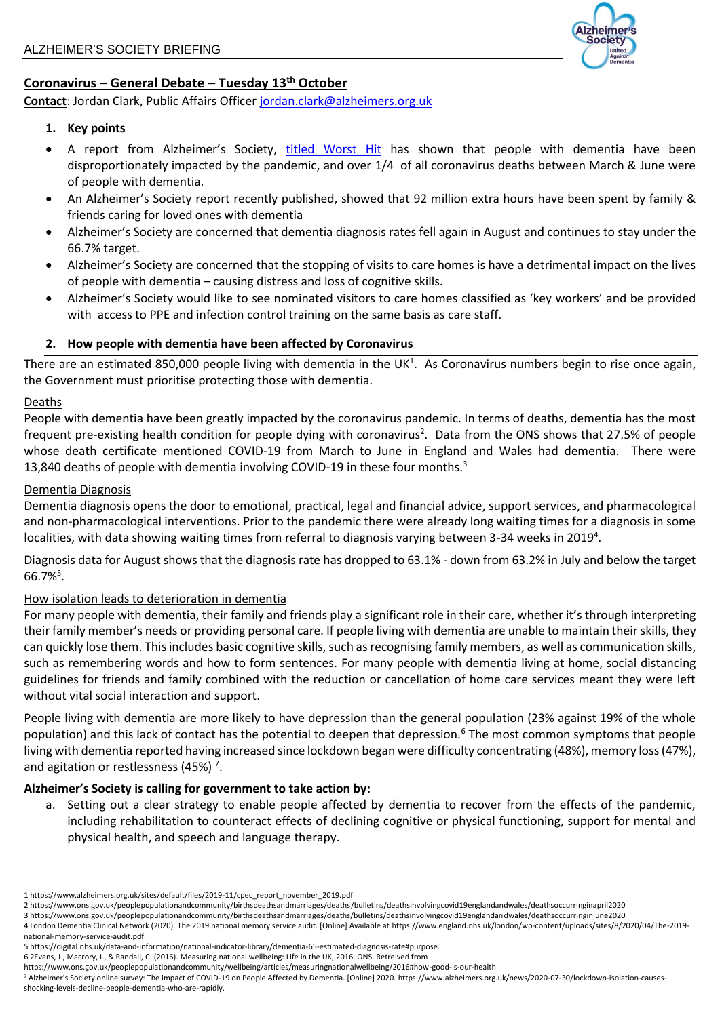

# **Coronavirus – General Debate – Tuesday 13th October**

**Contact**: Jordan Clark, Public Affairs Office[r jordan.clark@alzheimers.org.uk](mailto:jordan.clark@alzheimers.org.uk)

# **1. Key points**

- A report from Alzheimer's Society, [titled Worst Hit](https://www.alzheimers.org.uk/sites/default/files/2020-09/Worst-hit-Dementia-during-coronavirus-report.pdf) has shown that people with dementia have been disproportionately impacted by the pandemic, and over 1/4 of all coronavirus deaths between March & June were of people with dementia.
- An Alzheimer's Society report recently published, showed that 92 million extra hours have been spent by family & friends caring for loved ones with dementia
- Alzheimer's Society are concerned that dementia diagnosis rates fell again in August and continues to stay under the 66.7% target.
- Alzheimer's Society are concerned that the stopping of visits to care homes is have a detrimental impact on the lives of people with dementia – causing distress and loss of cognitive skills.
- Alzheimer's Society would like to see nominated visitors to care homes classified as 'key workers' and be provided with access to PPE and infection control training on the same basis as care staff.

# **2. How people with dementia have been affected by Coronavirus**

There are an estimated 850,000 people living with dementia in the UK<sup>1</sup>. As Coronavirus numbers begin to rise once again, the Government must prioritise protecting those with dementia.

# Deaths

 $\overline{a}$ 

People with dementia have been greatly impacted by the coronavirus pandemic. In terms of deaths, dementia has the most frequent pre-existing health condition for people dying with coronavirus<sup>2</sup>. Data from the ONS shows that 27.5% of people whose death certificate mentioned COVID-19 from March to June in England and Wales had dementia. There were 13,840 deaths of people with dementia involving COVID-19 in these four months.<sup>3</sup>

#### Dementia Diagnosis

Dementia diagnosis opens the door to emotional, practical, legal and financial advice, support services, and pharmacological and non-pharmacological interventions. Prior to the pandemic there were already long waiting times for a diagnosis in some localities, with data showing waiting times from referral to diagnosis varying between 3-34 weeks in 2019<sup>4</sup>.

Diagnosis data for August shows that the diagnosis rate has dropped to 63.1% - down from 63.2% in July and below the target 66.7%<sup>5</sup> .

# How isolation leads to deterioration in dementia

For many people with dementia, their family and friends play a significant role in their care, whether it's through interpreting their family member's needs or providing personal care. If people living with dementia are unable to maintain their skills, they can quickly lose them. This includes basic cognitive skills, such as recognising family members, as well as communication skills, such as remembering words and how to form sentences. For many people with dementia living at home, social distancing guidelines for friends and family combined with the reduction or cancellation of home care services meant they were left without vital social interaction and support.

People living with dementia are more likely to have depression than the general population (23% against 19% of the whole population) and this lack of contact has the potential to deepen that depression.<sup>6</sup> The most common symptoms that people living with dementia reported having increased since lockdown began were difficulty concentrating (48%), memory loss (47%), and agitation or restlessness (45%)<sup>7</sup>.

# **Alzheimer's Society is calling for government to take action by:**

a. Setting out a clear strategy to enable people affected by dementia to recover from the effects of the pandemic, including rehabilitation to counteract effects of declining cognitive or physical functioning, support for mental and physical health, and speech and language therapy.

3 https://www.ons.gov.uk/peoplepopulationandcommunity/birthsdeathsandmarriages/deaths/bulletins/deathsinvolvingcovid19englandandwales/deathsoccurringinjune2020 4 London Dementia Clinical Network (2020). The 2019 national memory service audit. [Online] Available a[t https://www.england.nhs.uk/london/wp-content/uploads/sites/8/2020/04/The-2019](https://www.england.nhs.uk/london/wp-content/uploads/sites/8/2020/04/The-2019-national-memory-service-audit.pdf) [national-memory-service-audit.pdf](https://www.england.nhs.uk/london/wp-content/uploads/sites/8/2020/04/The-2019-national-memory-service-audit.pdf)

<sup>1</sup> [https://www.alzheimers.org.uk/sites/default/files/2019-11/cpec\\_report\\_november\\_2019.pdf](https://www.alzheimers.org.uk/sites/default/files/2019-11/cpec_report_november_2019.pdf)

<sup>2</sup> <https://www.ons.gov.uk/peoplepopulationandcommunity/birthsdeathsandmarriages/deaths/bulletins/deathsinvolvingcovid19englandandwales/deathsoccurringinapril2020>

<sup>5</sup> https://digital.nhs.uk/data-and-information/national-indicator-library/dementia-65-estimated-diagnosis-rate#purpose.

<sup>6</sup> 2Evans, J., Macrory, I., & Randall, C. (2016). Measuring national wellbeing: Life in the UK, 2016. ONS. Retreived from

https://www.ons.gov.uk/peoplepopulationandcommunity/wellbeing/articles/measuringnationalwellbeing/2016#how-good-is-our-health

<sup>7</sup> Alzheimer's Society online survey: The impact of COVID-19 on People Affected by Dementia. [Online] 2020. https://www.alzheimers.org.uk/news/2020-07-30/lockdown-isolation-causesshocking-levels-decline-people-dementia-who-are-rapidly.